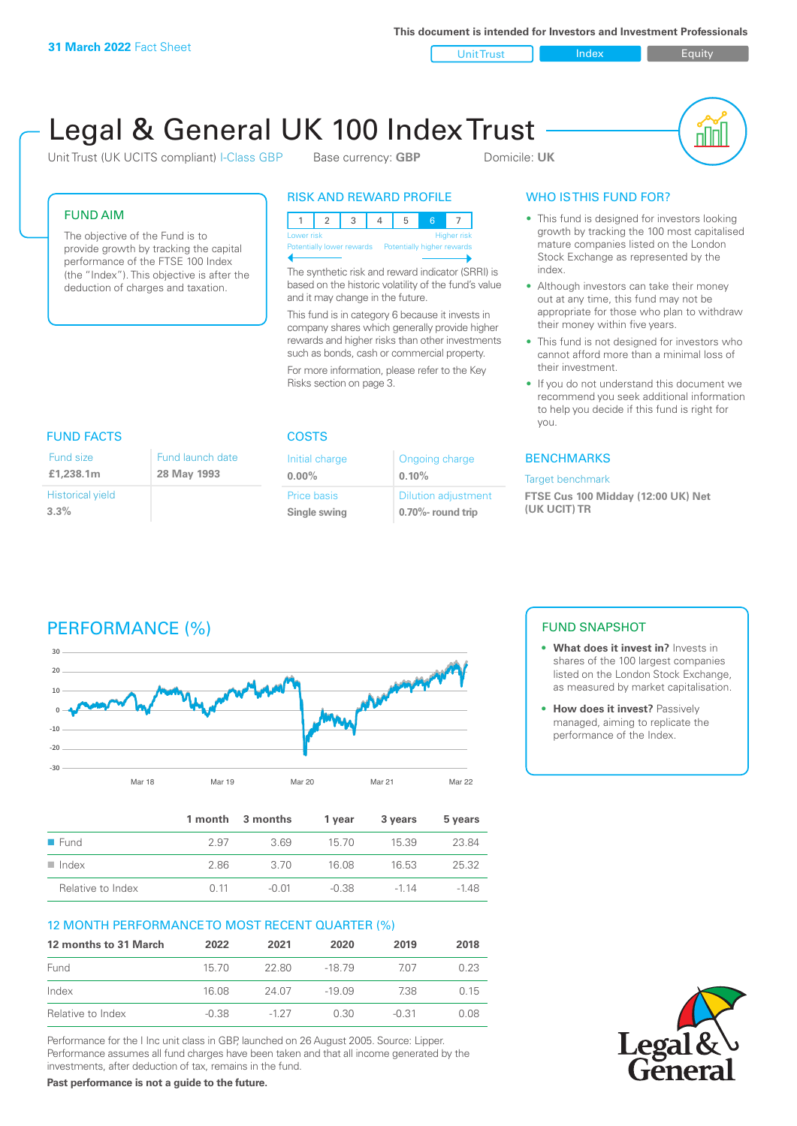**This document is intended for Investors and Investment Professionals**

Unit Trust **Index** Index Equity

# Legal & General UK 100 Index Trust

Unit Trust (UK UCITS compliant) I-Class GBP Base currency: **GBP** Domicile: UK



#### FUND AIM

The objective of the Fund is to provide growth by tracking the capital performance of the FTSE 100 Index (the "Index"). This objective is after the deduction of charges and taxation.

#### RISK AND REWARD PROFILE

|                           | Lower risk |  |  |  | <b>Higher risk</b>         |
|---------------------------|------------|--|--|--|----------------------------|
| Potentially lower rewards |            |  |  |  | Potentially higher rewards |
|                           |            |  |  |  |                            |

The synthetic risk and reward indicator (SRRI) is based on the historic volatility of the fund's value and it may change in the future.

This fund is in category 6 because it invests in company shares which generally provide higher rewards and higher risks than other investments such as bonds, cash or commercial property.

For more information, please refer to the Key Risks section on page 3.

### WHO IS THIS FUND FOR?

- This fund is designed for investors looking growth by tracking the 100 most capitalised mature companies listed on the London Stock Exchange as represented by the index.
- Although investors can take their money out at any time, this fund may not be appropriate for those who plan to withdraw their money within five years.
- This fund is not designed for investors who cannot afford more than a minimal loss of their investment.
- If you do not understand this document we recommend you seek additional information to help you decide if this fund is right for you.

#### **BENCHMARKS**

#### Target benchmark

**FTSE Cus 100 Midday (12:00 UK) Net (UK UCIT) TR**

#### Fund size

| Fund size               | Fund launch date |
|-------------------------|------------------|
| £1,238.1m               | 28 May 1993      |
| <b>Historical yield</b> |                  |
| 3.3%                    |                  |

#### FUND FACTS COSTS

| Initial charge | Ongoing charge             |
|----------------|----------------------------|
| $0.00\%$       | 0.10%                      |
| Price basis    | <b>Dilution adjustment</b> |
| Single swing   | 0.70%- round trip          |

# PERFORMANCE (%)



|                      |      | 1 month 3 months | 1 vear  | 3 years | 5 years |
|----------------------|------|------------------|---------|---------|---------|
| ■ Fund               | 2.97 | 369              | 15.70   | 15.39   | 23.84   |
| $\blacksquare$ Index | 2.86 | -3.70            | 16.08   | 16.53   | 25.32   |
| Relative to Index    | O 11 | -0.01            | $-0.38$ | $-114$  | -148    |

#### 12 MONTH PERFORMANCE TO MOST RECENT QUARTER (%)

| 12 months to 31 March | 2022    | 2021   | 2020     | 2019    | 2018  |
|-----------------------|---------|--------|----------|---------|-------|
| Fund                  | 15.70   | 22.80  | $-1879$  | 707     | 0.23  |
| Index                 | 16.08   | 24.07  | $-19.09$ | 738     | 0.15  |
| Relative to Index     | $-0.38$ | $-127$ | 0.30     | $-0.31$ | 0 O.S |

Performance for the I Inc unit class in GBP, launched on 26 August 2005. Source: Lipper. Performance assumes all fund charges have been taken and that all income generated by the investments, after deduction of tax, remains in the fund.

**Past performance is not a guide to the future.**

#### FUND SNAPSHOT

- **• What does it invest in?** Invests in shares of the 100 largest companies listed on the London Stock Exchange, as measured by market capitalisation.
- **• How does it invest?** Passively managed, aiming to replicate the performance of the Index.

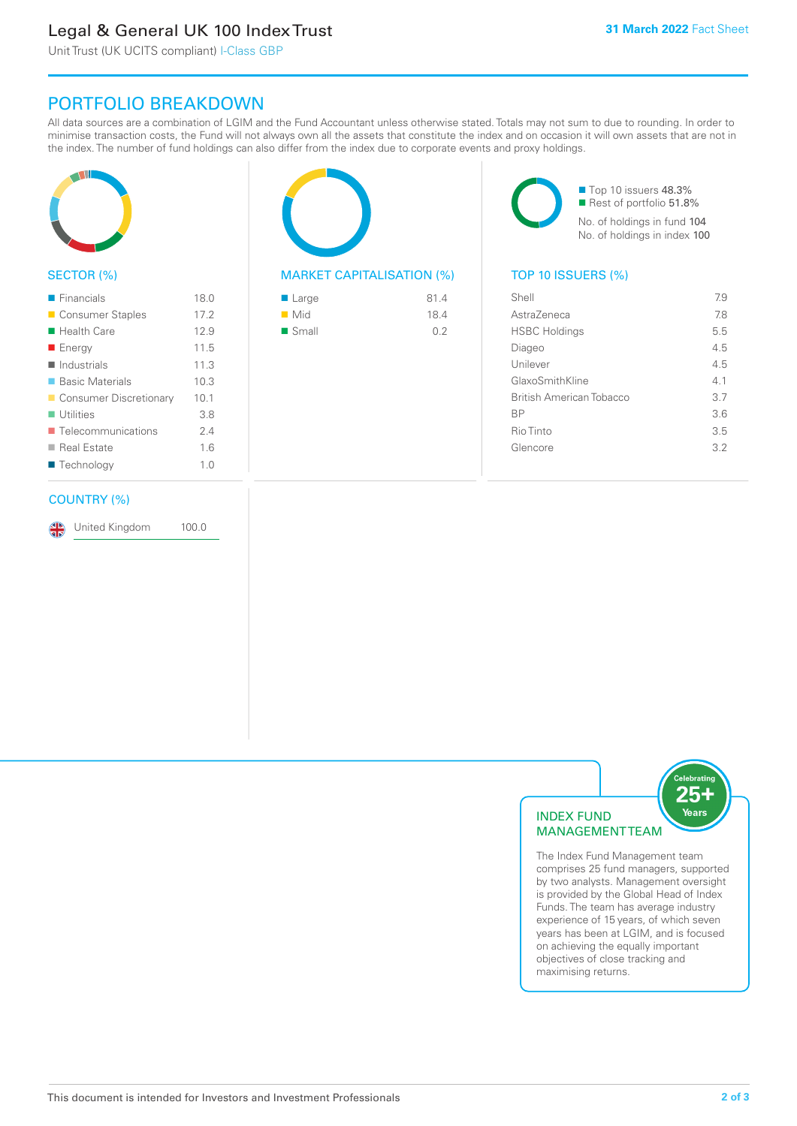# Legal & General UK 100 Index Trust

Unit Trust (UK UCITS compliant) I-Class GBP

## PORTFOLIO BREAKDOWN

All data sources are a combination of LGIM and the Fund Accountant unless otherwise stated. Totals may not sum to due to rounding. In order to minimise transaction costs, the Fund will not always own all the assets that constitute the index and on occasion it will own assets that are not in the index. The number of fund holdings can also differ from the index due to corporate events and proxy holdings.



#### SECTOR (%)

| $\blacksquare$ Financials         | 18.0 |
|-----------------------------------|------|
| ■ Consumer Staples                | 17.2 |
| ■ Health Care                     | 12.9 |
| ■ Energy                          | 11.5 |
| $\blacksquare$ Industrials        | 11.3 |
| ■ Basic Materials                 | 10.3 |
| Consumer Discretionary            | 10.1 |
| $\blacksquare$ Utilities          | 3.8  |
| $\blacksquare$ Telecommunications | 24   |
| ■ Real Estate                     | 1.6  |
| ■ Technology                      | 1.0  |
|                                   |      |

#### COUNTRY (%)

United Kingdom 100.0

#### MARKET CAPITALISATION (%) TOP 10 ISSUERS (%)

| ■ Large              | 81.4 |
|----------------------|------|
| $\blacksquare$ Mid   | 18.4 |
| $\blacksquare$ Small | 0.2  |

■ Top 10 issuers 48.3% Rest of portfolio 51.8% No. of holdings in fund 104 No. of holdings in index 100

| Shell                           | 7.9 |
|---------------------------------|-----|
| AstraZeneca                     | 78  |
| <b>HSBC Holdings</b>            | 5.5 |
| Diageo                          | 4.5 |
| Unilever                        | 4.5 |
| GlaxoSmithKline                 | 41  |
| <b>British American Tobacco</b> | 3.7 |
| <b>BP</b>                       | 3.6 |
| Rio Tinto                       | 3.5 |
| Glencore                        | 32  |
|                                 |     |



The Index Fund Management team comprises 25 fund managers, supported by two analysts. Management oversight is provided by the Global Head of Index Funds. The team has average industry experience of 15 years, of which seven years has been at LGIM, and is focused on achieving the equally important objectives of close tracking and maximising returns.